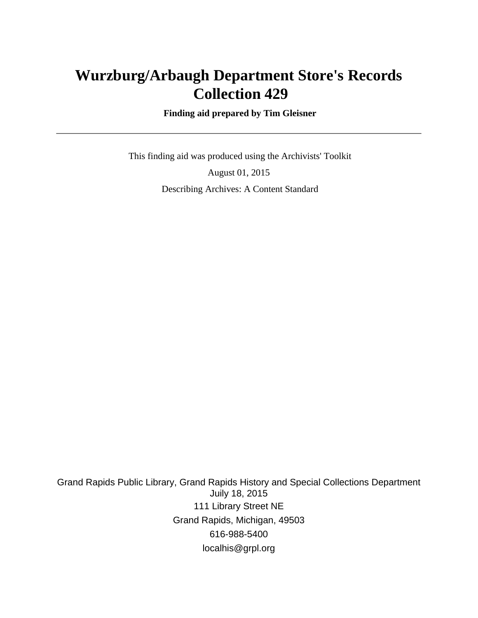# **Wurzburg/Arbaugh Department Store's Records Collection 429**

 **Finding aid prepared by Tim Gleisner**

 This finding aid was produced using the Archivists' Toolkit August 01, 2015 Describing Archives: A Content Standard

Grand Rapids Public Library, Grand Rapids History and Special Collections Department Juily 18, 2015 111 Library Street NE Grand Rapids, Michigan, 49503 616-988-5400 localhis@grpl.org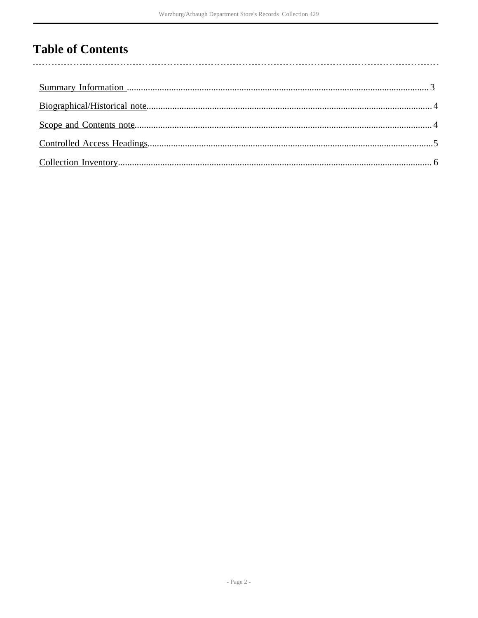# **Table of Contents**

l,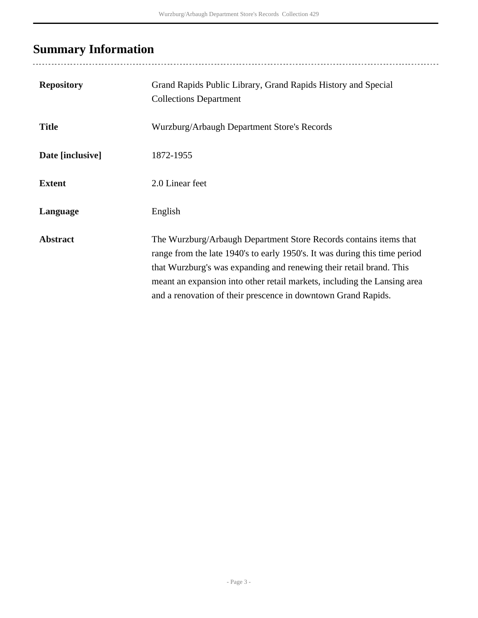# <span id="page-2-0"></span>**Summary Information**

| <b>Repository</b> | Grand Rapids Public Library, Grand Rapids History and Special<br><b>Collections Department</b>                                                                                                                                                                                                                                                                      |
|-------------------|---------------------------------------------------------------------------------------------------------------------------------------------------------------------------------------------------------------------------------------------------------------------------------------------------------------------------------------------------------------------|
| <b>Title</b>      | Wurzburg/Arbaugh Department Store's Records                                                                                                                                                                                                                                                                                                                         |
| Date [inclusive]  | 1872-1955                                                                                                                                                                                                                                                                                                                                                           |
| <b>Extent</b>     | 2.0 Linear feet                                                                                                                                                                                                                                                                                                                                                     |
| Language          | English                                                                                                                                                                                                                                                                                                                                                             |
| <b>Abstract</b>   | The Wurzburg/Arbaugh Department Store Records contains items that<br>range from the late 1940's to early 1950's. It was during this time period<br>that Wurzburg's was expanding and renewing their retail brand. This<br>meant an expansion into other retail markets, including the Lansing area<br>and a renovation of their prescence in downtown Grand Rapids. |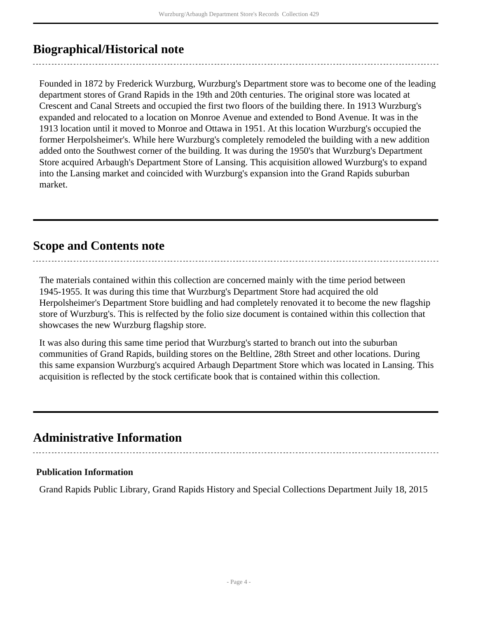### <span id="page-3-0"></span>**Biographical/Historical note**

Founded in 1872 by Frederick Wurzburg, Wurzburg's Department store was to become one of the leading department stores of Grand Rapids in the 19th and 20th centuries. The original store was located at Crescent and Canal Streets and occupied the first two floors of the building there. In 1913 Wurzburg's expanded and relocated to a location on Monroe Avenue and extended to Bond Avenue. It was in the 1913 location until it moved to Monroe and Ottawa in 1951. At this location Wurzburg's occupied the former Herpolsheimer's. While here Wurzburg's completely remodeled the building with a new addition added onto the Southwest corner of the building. It was during the 1950's that Wurzburg's Department Store acquired Arbaugh's Department Store of Lansing. This acquisition allowed Wurzburg's to expand into the Lansing market and coincided with Wurzburg's expansion into the Grand Rapids suburban market.

### <span id="page-3-1"></span>**Scope and Contents note**

The materials contained within this collection are concerned mainly with the time period between 1945-1955. It was during this time that Wurzburg's Department Store had acquired the old Herpolsheimer's Department Store buidling and had completely renovated it to become the new flagship store of Wurzburg's. This is relfected by the folio size document is contained within this collection that showcases the new Wurzburg flagship store.

It was also during this same time period that Wurzburg's started to branch out into the suburban communities of Grand Rapids, building stores on the Beltline, 28th Street and other locations. During this same expansion Wurzburg's acquired Arbaugh Department Store which was located in Lansing. This acquisition is reflected by the stock certificate book that is contained within this collection.

### **Administrative Information**

#### **Publication Information**

Grand Rapids Public Library, Grand Rapids History and Special Collections Department Juily 18, 2015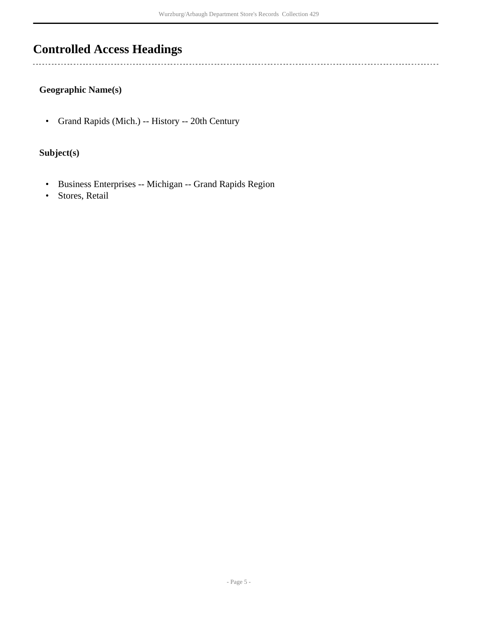## <span id="page-4-0"></span>**Controlled Access Headings**

 $\ddotsc$ 

### **Geographic Name(s)**

• Grand Rapids (Mich.) -- History -- 20th Century

#### **Subject(s)**

- Business Enterprises -- Michigan -- Grand Rapids Region
- Stores, Retail